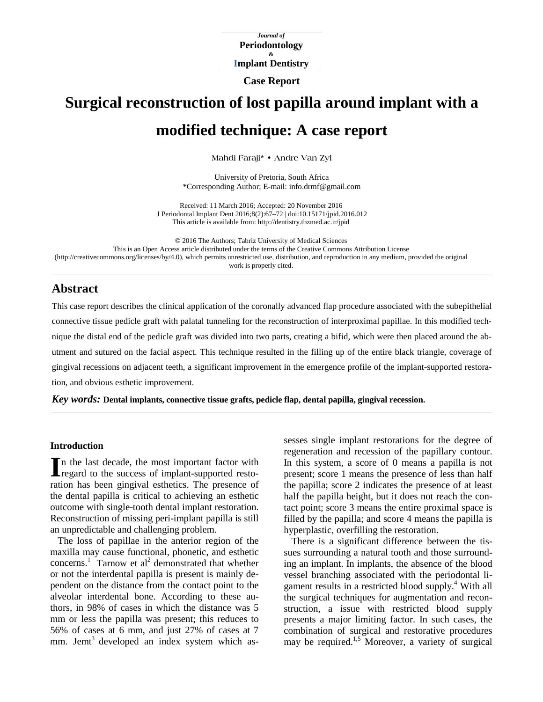*Journal of* **Periodontology & Implant Dentistry**

**Case Report**

# **Surgical reconstruction of lost papilla around implant with a modified technique: A case report**

**Mahdi Faraji\* • Andre Van Zyl**

University of Pretoria, South Africa \*Corresponding Author; E-mail: info.drmf@gmail.com

Received: 11 March 2016; Accepted: 20 November 2016 J Periodontal Implant Dent 2016;8(2):67–72 | [doi:10.15171/jpid.2016.012](http://dx.doi.org/10.15171/jpid.2016.012) This article is available from:<http://dentistry.tbzmed.ac.ir/jpid>

© 2016 The Authors; Tabriz University of Medical Sciences This is an Open Access article distributed under the terms of the Creative Commons Attribution License [\(http://creativecommons.org/licenses/by/4.0\)](http://creativecommons.org/licenses/by/4.0), which permits unrestricted use, distribution, and reproduction in any medium, provided the original work is properly cited.

# **Abstract**

This case report describes the clinical application of the coronally advanced flap procedure associated with the subepithelial connective tissue pedicle graft with palatal tunneling for the reconstruction of interproximal papillae. In this modified technique the distal end of the pedicle graft was divided into two parts, creating a bifid, which were then placed around the abutment and sutured on the facial aspect. This technique resulted in the filling up of the entire black triangle, coverage of gingival recessions on adjacent teeth, a significant improvement in the emergence profile of the implant-supported restoration, and obvious esthetic improvement.

*Key words:* **Dental implants, connective tissue grafts, pedicle flap, dental papilla, gingival recession.**

### **Introduction**

n the last decade, the most important factor with In the last decade, the most important factor with<br>regard to the success of implant-supported restoration has been gingival esthetics. The presence of the dental papilla is critical to achieving an esthetic outcome with single-tooth dental implant restoration. Reconstruction of missing peri-implant papilla is still an unpredictable and challenging problem.

The loss of papillae in the anterior region of the maxilla may cause functional, phonetic, and esthetic concerns.<sup>1</sup> Tarnow et al<sup>2</sup> demonstrated that whether or not the interdental papilla is present is mainly dependent on the distance from the contact point to the alveolar interdental bone. According to these authors, in 98% of cases in which the distance was 5 mm or less the papilla was present; this reduces to 56% of cases at 6 mm, and just 27% of cases at 7 mm. Jemt<sup>3</sup> developed an index system which as-

sesses single implant restorations for the degree of regeneration and recession of the papillary contour. In this system, a score of 0 means a papilla is not present; score 1 means the presence of less than half the papilla; score 2 indicates the presence of at least half the papilla height, but it does not reach the contact point; score 3 means the entire proximal space is filled by the papilla; and score 4 means the papilla is hyperplastic, overfilling the restoration.

There is a significant difference between the tissues surrounding a natural tooth and those surrounding an implant. In implants, the absence of the blood vessel branching associated with the periodontal ligament results in a restricted blood supply. <sup>4</sup> With all the surgical techniques for augmentation and reconstruction, a issue with restricted blood supply presents a major limiting factor. In such cases, the combination of surgical and restorative procedures may be required.<sup>1,5</sup> Moreover, a variety of surgical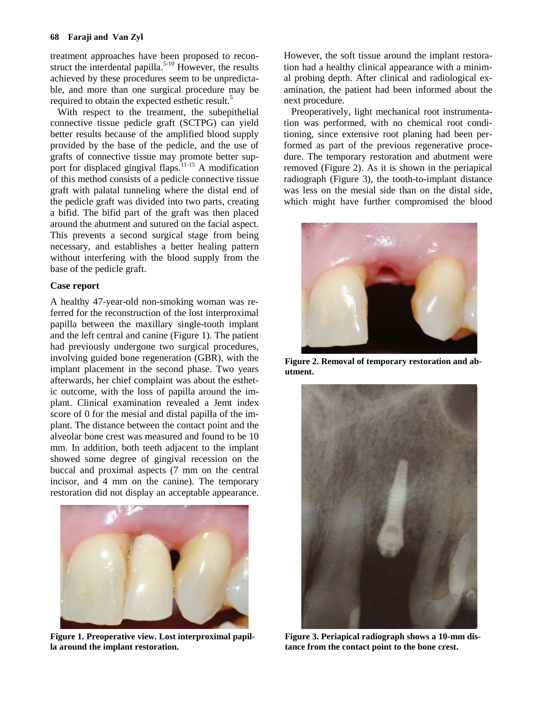treatment approaches have been proposed to reconstruct the interdental papilla.<sup>5-10</sup> However, the results achieved by these procedures seem to be unpredictable, and more than one surgical procedure may be required to obtain the expected esthetic result.<sup>5</sup>

With respect to the treatment, the subepithelial connective tissue pedicle graft (SCTPG) can yield better results because of the amplified blood supply provided by the base of the pedicle, and the use of grafts of connective tissue may promote better support for displaced gingival flaps.<sup>11-15</sup> A modification of this method consists of a pedicle connective tissue graft with palatal tunneling where the distal end of the pedicle graft was divided into two parts, creating a bifid. The bifid part of the graft was then placed around the abutment and sutured on the facial aspect. This prevents a second surgical stage from being necessary, and establishes a better healing pattern without interfering with the blood supply from the base of the pedicle graft.

## **Case report**

A healthy 47-year-old non-smoking woman was referred for the reconstruction of the lost interproximal papilla between the maxillary single-tooth implant and the left central and canine (Figure 1). The patient had previously undergone two surgical procedures, involving guided bone regeneration (GBR), with the implant placement in the second phase. Two years afterwards, her chief complaint was about the esthetic outcome, with the loss of papilla around the implant. Clinical examination revealed a Jemt index score of 0 for the mesial and distal papilla of the implant. The distance between the contact point and the alveolar bone crest was measured and found to be 10 mm. In addition, both teeth adjacent to the implant showed some degree of gingival recession on the buccal and proximal aspects (7 mm on the central incisor, and 4 mm on the canine). The temporary restoration did not display an acceptable appearance.



**Figure 1. Preoperative view. Lost interproximal papilla around the implant restoration.**

However, the soft tissue around the implant restoration had a healthy clinical appearance with a minimal probing depth. After clinical and radiological examination, the patient had been informed about the next procedure.

Preoperatively, light mechanical root instrumentation was performed, with no chemical root conditioning, since extensive root planing had been performed as part of the previous regenerative procedure. The temporary restoration and abutment were removed (Figure 2). As it is shown in the periapical radiograph (Figure 3), the tooth-to-implant distance was less on the mesial side than on the distal side, which might have further compromised the blood



**Figure 2. Removal of temporary restoration and abutment.**



**Figure 3. Periapical radiograph shows a 10-mm distance from the contact point to the bone crest.**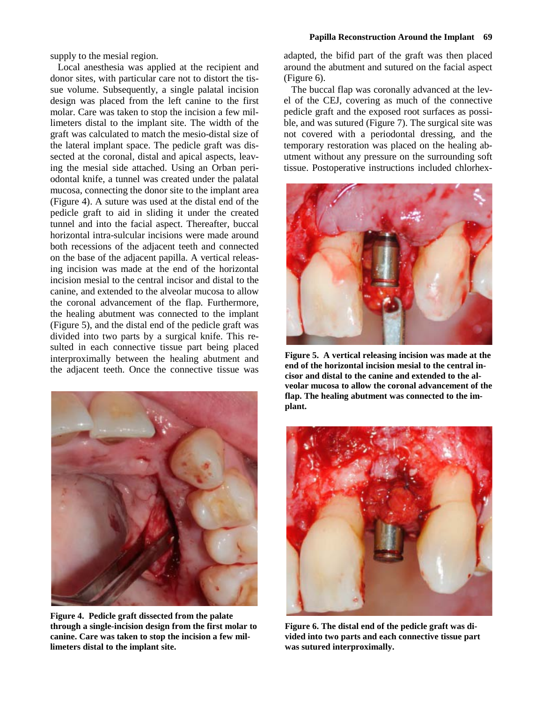supply to the mesial region.

Local anesthesia was applied at the recipient and donor sites, with particular care not to distort the tissue volume. Subsequently, a single palatal incision design was placed from the left canine to the first molar. Care was taken to stop the incision a few millimeters distal to the implant site. The width of the graft was calculated to match the mesio-distal size of the lateral implant space. The pedicle graft was dissected at the coronal, distal and apical aspects, leaving the mesial side attached. Using an Orban periodontal knife, a tunnel was created under the palatal mucosa, connecting the donor site to the implant area (Figure 4). A suture was used at the distal end of the pedicle graft to aid in sliding it under the created tunnel and into the facial aspect. Thereafter, buccal horizontal intra-sulcular incisions were made around both recessions of the adjacent teeth and connected on the base of the adjacent papilla. A vertical releasing incision was made at the end of the horizontal incision mesial to the central incisor and distal to the canine, and extended to the alveolar mucosa to allow the coronal advancement of the flap. Furthermore, the healing abutment was connected to the implant (Figure 5), and the distal end of the pedicle graft was divided into two parts by a surgical knife. This resulted in each connective tissue part being placed interproximally between the healing abutment and the adjacent teeth. Once the connective tissue was



**Figure 4. Pedicle graft dissected from the palate through a single-incision design from the first molar to canine. Care was taken to stop the incision a few millimeters distal to the implant site.**

adapted, the bifid part of the graft was then placed around the abutment and sutured on the facial aspect (Figure 6).

The buccal flap was coronally advanced at the level of the CEJ, covering as much of the connective pedicle graft and the exposed root surfaces as possible, and was sutured (Figure 7). The surgical site was not covered with a periodontal dressing, and the temporary restoration was placed on the healing abutment without any pressure on the surrounding soft tissue. Postoperative instructions included chlorhex-



**Figure 5. A vertical releasing incision was made at the end of the horizontal incision mesial to the central incisor and distal to the canine and extended to the alveolar mucosa to allow the coronal advancement of the flap. The healing abutment was connected to the implant.**



**Figure 6. The distal end of the pedicle graft was divided into two parts and each connective tissue part was sutured interproximally.**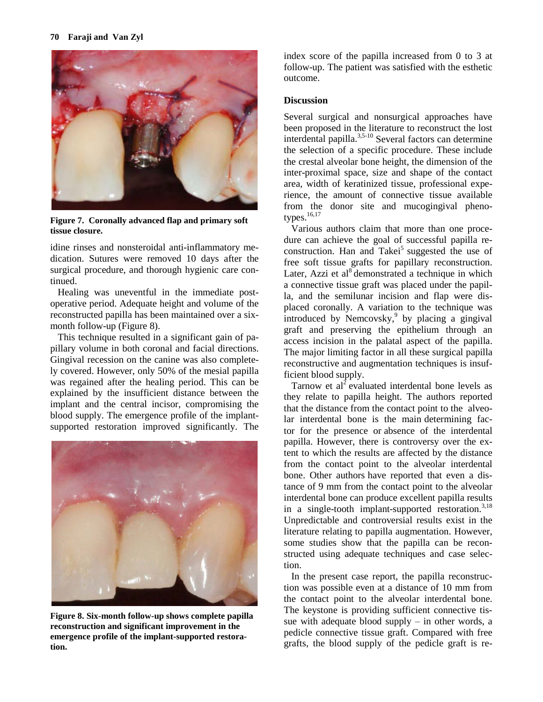

**Figure 7. Coronally advanced flap and primary soft tissue closure.**

idine rinses and nonsteroidal anti-inflammatory medication. Sutures were removed 10 days after the surgical procedure, and thorough hygienic care continued.

Healing was uneventful in the immediate postoperative period. Adequate height and volume of the reconstructed papilla has been maintained over a sixmonth follow-up (Figure 8).

This technique resulted in a significant gain of papillary volume in both coronal and facial directions. Gingival recession on the canine was also completely covered. However, only 50% of the mesial papilla was regained after the healing period. This can be explained by the insufficient distance between the implant and the central incisor, compromising the blood supply. The emergence profile of the implantsupported restoration improved significantly. The



**Figure 8. Six-month follow-up shows complete papilla reconstruction and significant improvement in the emergence profile of the implant-supported restoration.**

index score of the papilla increased from 0 to 3 at follow-up. The patient was satisfied with the esthetic outcome.

### **Discussion**

Several surgical and nonsurgical approaches have been proposed in the literature to reconstruct the lost interdental papilla. 3,5-10 Several factors can determine the selection of a specific procedure. These include the crestal alveolar bone height, the dimension of the inter-proximal space, size and shape of the contact area, width of keratinized tissue, professional experience, the amount of connective tissue available from the donor site and mucogingival phenotypes.<sup>16,17</sup>

Various authors claim that more than one procedure can achieve the goal of successful papilla reconstruction. Han and Takei<sup>5</sup> suggested the use of free soft tissue grafts for papillary reconstruction. Later, Azzi et al<sup>8</sup> demonstrated a technique in which a connective tissue graft was placed under the papilla, and the semilunar incision and flap were displaced coronally. A variation to the technique was introduced by Nemcovsky, <sup>9</sup> by placing a gingival graft and preserving the epithelium through an access incision in the palatal aspect of the papilla. The major limiting factor in all these surgical papilla reconstructive and augmentation techniques is insufficient blood supply.

Tarnow et  $al^2$  evaluated interdental bone levels as they relate to papilla height. The authors reported that the distance from the contact point to the alveolar interdental bone is the main determining factor for the presence or absence of the interdental papilla. However, there is controversy over the extent to which the results are affected by the distance from the contact point to the alveolar interdental bone. Other authors have reported that even a distance of 9 mm from the contact point to the alveolar interdental bone can produce excellent papilla results in a single-tooth implant-supported restoration.<sup>3,18</sup> Unpredictable and controversial results exist in the literature relating to papilla augmentation. However, some studies show that the papilla can be reconstructed using adequate techniques and case selection.

In the present case report, the papilla reconstruction was possible even at a distance of 10 mm from the contact point to the alveolar interdental bone. The keystone is providing sufficient connective tissue with adequate blood supply  $-$  in other words, a pedicle connective tissue graft. Compared with free grafts, the blood supply of the pedicle graft is re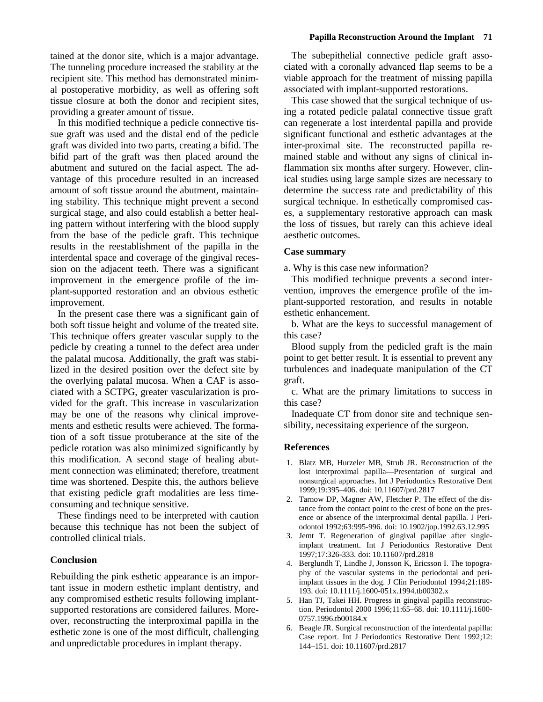tained at the donor site, which is a major advantage. The tunneling procedure increased the stability at the recipient site. This method has demonstrated minimal postoperative morbidity, as well as offering soft tissue closure at both the donor and recipient sites, providing a greater amount of tissue.

In this modified technique a pedicle connective tissue graft was used and the distal end of the pedicle graft was divided into two parts, creating a bifid. The bifid part of the graft was then placed around the abutment and sutured on the facial aspect. The advantage of this procedure resulted in an increased amount of soft tissue around the abutment, maintaining stability. This technique might prevent a second surgical stage, and also could establish a better healing pattern without interfering with the blood supply from the base of the pedicle graft. This technique results in the reestablishment of the papilla in the interdental space and coverage of the gingival recession on the adjacent teeth. There was a significant improvement in the emergence profile of the implant-supported restoration and an obvious esthetic improvement.

In the present case there was a significant gain of both soft tissue height and volume of the treated site. This technique offers greater vascular supply to the pedicle by creating a tunnel to the defect area under the palatal mucosa. Additionally, the graft was stabilized in the desired position over the defect site by the overlying palatal mucosa. When a CAF is associated with a SCTPG, greater vascularization is provided for the graft. This increase in vascularization may be one of the reasons why clinical improvements and esthetic results were achieved. The formation of a soft tissue protuberance at the site of the pedicle rotation was also minimized significantly by this modification. A second stage of healing abutment connection was eliminated; therefore, treatment time was shortened. Despite this, the authors believe that existing pedicle graft modalities are less timeconsuming and technique sensitive.

These findings need to be interpreted with caution because this technique has not been the subject of controlled clinical trials.

#### **Conclusion**

Rebuilding the pink esthetic appearance is an important issue in modern esthetic implant dentistry, and any compromised esthetic results following implantsupported restorations are considered failures. Moreover, reconstructing the interproximal papilla in the esthetic zone is one of the most difficult, challenging and unpredictable procedures in implant therapy.

The subepithelial connective pedicle graft associated with a coronally advanced flap seems to be a viable approach for the treatment of missing papilla associated with implant-supported restorations.

This case showed that the surgical technique of using a rotated pedicle palatal connective tissue graft can regenerate a lost interdental papilla and provide significant functional and esthetic advantages at the inter-proximal site. The reconstructed papilla remained stable and without any signs of clinical inflammation six months after surgery. However, clinical studies using large sample sizes are necessary to determine the success rate and predictability of this surgical technique. In esthetically compromised cases, a supplementary restorative approach can mask the loss of tissues, but rarely can this achieve ideal aesthetic outcomes.

#### **Case summary**

a. Why is this case new information?

This modified technique prevents a second intervention, improves the emergence profile of the implant-supported restoration, and results in notable esthetic enhancement.

b. What are the keys to successful management of this case?

Blood supply from the pedicled graft is the main point to get better result. It is essential to prevent any turbulences and inadequate manipulation of the CT graft.

c. What are the primary limitations to success in this case?

Inadequate CT from donor site and technique sensibility, necessitaing experience of the surgeon.

#### **References**

- 1. Blatz MB, Hurzeler MB, Strub JR. Reconstruction of the lost interproximal papilla—Presentation of surgical and nonsurgical approaches. Int J Periodontics Restorative Dent 1999;19:395–406. doi: 10.11607/prd.2817
- 2. Tarnow DP, Magner AW, Fletcher P. The effect of the distance from the contact point to the crest of bone on the presence or absence of the interproximal dental papilla. J Periodontol 1992;63:995-996. doi: 10.1902/jop.1992.63.12.995
- 3. Jemt T. Regeneration of gingival papillae after singleimplant treatment. Int J Periodontics Restorative Dent 1997;17:326-333. doi: 10.11607/prd.2818
- 4. Berglundh T, Lindhe J, Jonsson K, Ericsson I. The topography of the vascular systems in the periodontal and periimplant tissues in the dog. J Clin Periodontol 1994;21:189- 193. doi: 10.1111/j.1600-051x.1994.tb00302.x
- 5. Han TJ, Takei HH. Progress in gingival papilla reconstruction. Periodontol 2000 1996;11:65–68. doi: 10.1111/j.1600- 0757.1996.tb00184.x
- 6. Beagle JR. Surgical reconstruction of the interdental papilla: Case report. Int J Periodontics Restorative Dent 1992;12: 144–151. doi: 10.11607/prd.2817